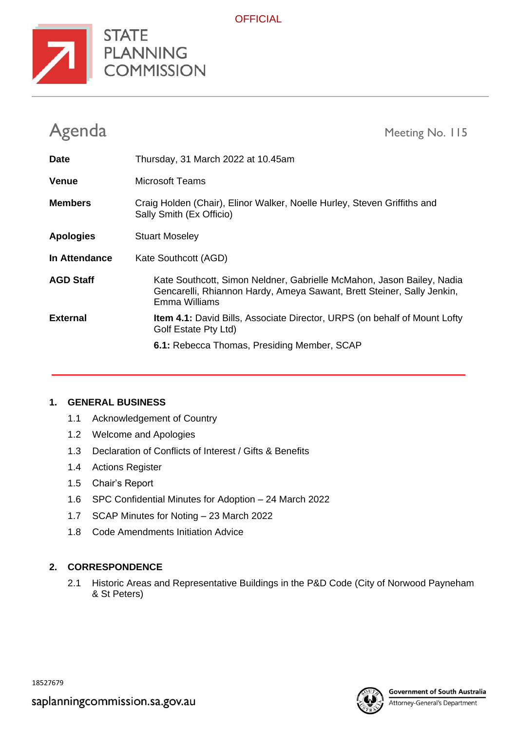

**OFFICIAL** 

| Agenda           | Meeting No. 115                                                                                                                                                  |
|------------------|------------------------------------------------------------------------------------------------------------------------------------------------------------------|
| <b>Date</b>      | Thursday, 31 March 2022 at 10.45am                                                                                                                               |
| <b>Venue</b>     | Microsoft Teams                                                                                                                                                  |
| <b>Members</b>   | Craig Holden (Chair), Elinor Walker, Noelle Hurley, Steven Griffiths and<br>Sally Smith (Ex Officio)                                                             |
| <b>Apologies</b> | <b>Stuart Moseley</b>                                                                                                                                            |
| In Attendance    | Kate Southcott (AGD)                                                                                                                                             |
| <b>AGD Staff</b> | Kate Southcott, Simon Neldner, Gabrielle McMahon, Jason Bailey, Nadia<br>Gencarelli, Rhiannon Hardy, Ameya Sawant, Brett Steiner, Sally Jenkin,<br>Emma Williams |
| <b>External</b>  | <b>Item 4.1:</b> David Bills, Associate Director, URPS (on behalf of Mount Lofty<br>Golf Estate Pty Ltd)                                                         |
|                  | 6.1: Rebecca Thomas, Presiding Member, SCAP                                                                                                                      |

## **1. GENERAL BUSINESS**

- 1.1 Acknowledgement of Country
- 1.2 Welcome and Apologies
- 1.3 Declaration of Conflicts of Interest / Gifts & Benefits
- 1.4 Actions Register
- 1.5 Chair's Report
- 1.6 SPC Confidential Minutes for Adoption 24 March 2022
- 1.7 SCAP Minutes for Noting 23 March 2022
- 1.8 Code Amendments Initiation Advice

## **2. CORRESPONDENCE**

2.1 Historic Areas and Representative Buildings in the P&D Code (City of Norwood Payneham & St Peters)



Attorney-General's Department

18527679